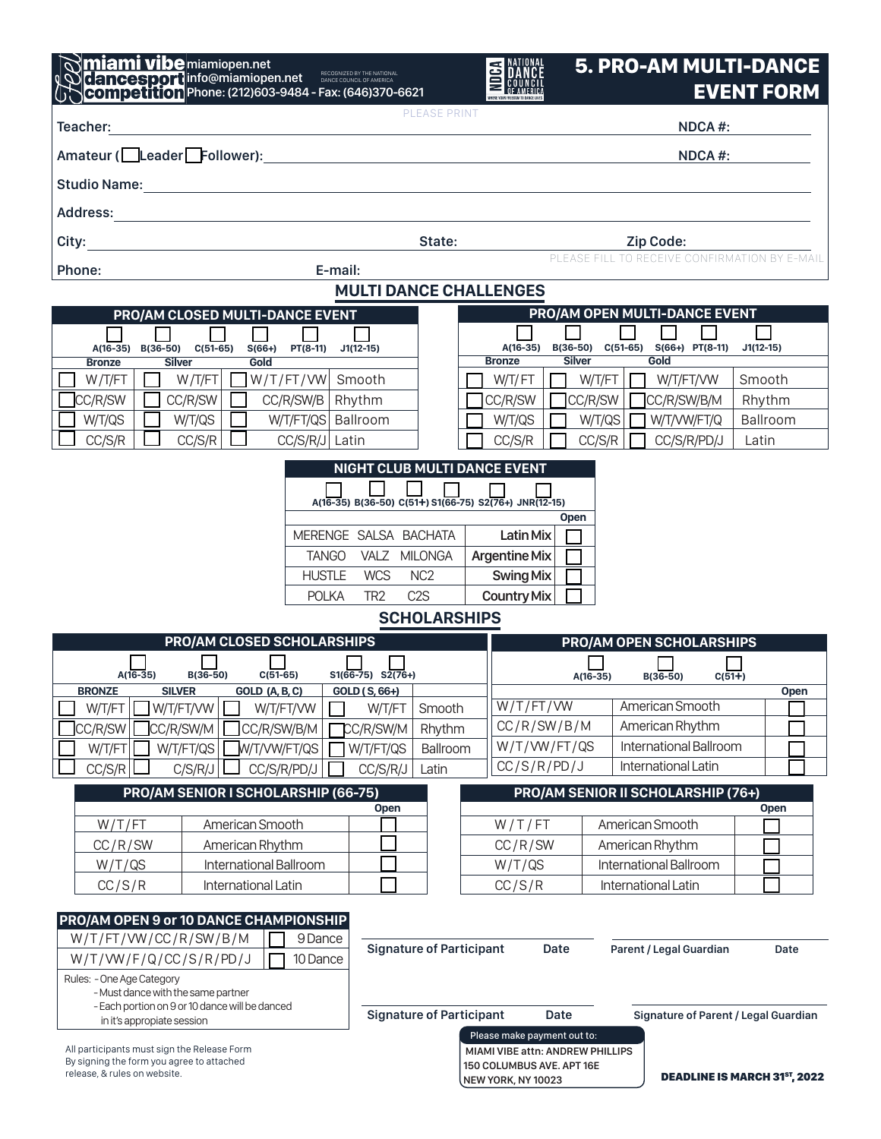| miami vibemiamiopen.net<br><b>Competition Phone:</b> (212)603-9484 - Fax: (646)370-6621                                                                                             |                                                                                                                | <b>NATIONAL</b><br><b>DANCE</b><br>SE DANCE                                                                        | <b>5. PRO-AM MULTI-DANCE</b>                  | <b>EVENT FORM</b>                   |
|-------------------------------------------------------------------------------------------------------------------------------------------------------------------------------------|----------------------------------------------------------------------------------------------------------------|--------------------------------------------------------------------------------------------------------------------|-----------------------------------------------|-------------------------------------|
| <b>PLEASE PRINT</b><br>Teacher:                                                                                                                                                     |                                                                                                                |                                                                                                                    | NDCA#:                                        |                                     |
| Amateur (Leader Follower):                                                                                                                                                          |                                                                                                                |                                                                                                                    | NDCA#:                                        |                                     |
|                                                                                                                                                                                     |                                                                                                                |                                                                                                                    |                                               |                                     |
|                                                                                                                                                                                     |                                                                                                                |                                                                                                                    |                                               |                                     |
| City:                                                                                                                                                                               | State:                                                                                                         |                                                                                                                    | Zip Code:                                     |                                     |
| E-mail:<br>Phone:                                                                                                                                                                   |                                                                                                                |                                                                                                                    | PLEASE FILL TO RECEIVE CONFIRMATION BY E-MAIL |                                     |
| <b>MULTI DANCE CHALLENGES</b>                                                                                                                                                       |                                                                                                                |                                                                                                                    |                                               |                                     |
| PRO/AM OPEN MULTI-DANCE EVENT<br>PRO/AM CLOSED MULTI-DANCE EVENT                                                                                                                    |                                                                                                                |                                                                                                                    |                                               |                                     |
| $A(16-35)$<br>$B(36-50)$<br>$C(51-65)$<br>$S(66+)$<br>PT(8-11)                                                                                                                      | $J1(12-15)$                                                                                                    | A(16-35)                                                                                                           | B(36-50) C(51-65) S(66+) PT(8-11)             | $J1(12-15)$                         |
| <b>Silver</b><br>Gold<br><b>Bronze</b><br>W/T/FT<br>W/T/FT/VW<br>W/T/FT                                                                                                             | Smooth                                                                                                         | <b>Silver</b><br><b>Bronze</b><br>W/T/FT<br>W/T/FT                                                                 | Gold<br>W/T/FT/VW                             | Smooth                              |
| CC/R/SW<br>CC/R/SW<br>CC/R/SW/B                                                                                                                                                     | Rhythm                                                                                                         | CC/R/SW<br>CC/R/SW                                                                                                 | CC/R/SW/B/M                                   | Rhythm                              |
| W/T/QS<br>W/T/QS<br>W/T/FT/QS Ballroom                                                                                                                                              |                                                                                                                | W/T/QS<br>W/T/QS                                                                                                   | W/T/VW/FT/Q                                   | Ballroom                            |
| CC/S/R<br>CC/S/R<br>$CC/S/R/J$ Latin                                                                                                                                                |                                                                                                                | CC/S/R<br>CC/S/R                                                                                                   | CC/S/R/PD/J                                   | Latin                               |
|                                                                                                                                                                                     | NIGHT CLUB MULTI DANCE EVENT<br>A(16-35) B(36-50) C(51+) S1(66-75) S2(76+) JNR(12-15)<br>MERENGE SALSA BACHATA | <b>Open</b><br><b>Latin Mix</b>                                                                                    |                                               |                                     |
| <b>TANGO</b>                                                                                                                                                                        | VALZ MILONGA                                                                                                   | <b>Argentine Mix</b>                                                                                               |                                               |                                     |
| <b>HUSTLE</b><br><b>POLKA</b>                                                                                                                                                       | <b>WCS</b><br>NC <sub>2</sub><br>C <sub>2</sub> S<br>TR <sub>2</sub>                                           | <b>Swing Mix</b><br><b>Country Mix</b>                                                                             |                                               |                                     |
| <b>SCHOLARSHIPS</b>                                                                                                                                                                 |                                                                                                                |                                                                                                                    |                                               |                                     |
| PRO/AM CLOSED SCHOLARSHIPS<br><b>PRO/AM OPEN SCHOLARSHIPS</b>                                                                                                                       |                                                                                                                |                                                                                                                    |                                               |                                     |
| $A(16-35)$<br>$S1(66-75)$ $S2(76+)$<br>B(36-50)<br>$C(51-65)$                                                                                                                       |                                                                                                                | $A(16-35)$<br>$C(51+)$                                                                                             |                                               |                                     |
| <b>SILVER</b><br><b>BRONZE</b><br>GOLD (A, B, C)                                                                                                                                    | GOLD (S, 66+)                                                                                                  |                                                                                                                    | $B(36-50)$                                    | <b>Open</b>                         |
| W/T/FT/VW<br>W/T/FT<br>W/T/FT/VW                                                                                                                                                    | Smooth<br>W/T/FT                                                                                               | W/T/FT/VW                                                                                                          | American Smooth                               |                                     |
| CC/R/SW<br>CC/R/SW/M<br>CC/R/SW/B/M<br>$Jw$ /T/VW/FT/QS $\mid$                                                                                                                      | CC/R/SW/M<br>Rhythm<br>Ballroom                                                                                | CC/R/SW/B/M<br>W/T/WW/FT/QS                                                                                        | American Rhythm<br>International Ballroom     |                                     |
| W/T/FT/QS<br>W/T/FT<br>CC/S/R<br>C/S/R/J<br>CC/S/R/PD/J                                                                                                                             | W/T/FT/QS<br>CC/S/R/J<br>Latin                                                                                 | CC/S/R/PD/J                                                                                                        | International Latin                           |                                     |
| PRO/AM SENIOR I SCHOLARSHIP (66-75)<br><b>PRO/AM SENIOR II SCHOLARSHIP (76+)</b>                                                                                                    |                                                                                                                |                                                                                                                    |                                               |                                     |
| W/T/FT<br>American Smooth                                                                                                                                                           | Open                                                                                                           | W/T/FT                                                                                                             | American Smooth                               | Open                                |
| CC/R/SW<br>American Rhythm                                                                                                                                                          |                                                                                                                | CC/R/SW                                                                                                            | American Rhythm                               |                                     |
| International Ballroom<br>W/T/QS                                                                                                                                                    |                                                                                                                | W/T/QS                                                                                                             | International Ballroom                        |                                     |
| CC/S/R<br>International Latin                                                                                                                                                       |                                                                                                                | CC/S/R                                                                                                             | International Latin                           |                                     |
| PRO/AM OPEN 9 or 10 DANCE CHAMPIONSHIP<br>W/T/FT/VW/CC/R/SW/B/M<br>9 Dance<br>W/T/WW/F/Q/CC/S/R/PD/J<br>10 Dance<br>Rules: - One Age Category<br>- Must dance with the same partner | <b>Signature of Participant</b>                                                                                | Date                                                                                                               | Parent / Legal Guardian                       | Date                                |
| - Each portion on 9 or 10 dance will be danced<br>in it's appropiate session                                                                                                        | <b>Signature of Participant</b>                                                                                | Date                                                                                                               | <b>Signature of Parent / Legal Guardian</b>   |                                     |
| All participants must sign the Release Form<br>By signing the form you agree to attached<br>release, & rules on website.                                                            |                                                                                                                | Please make payment out to:<br>MIAMI VIBE attn: ANDREW PHILLIPS<br>150 COLUMBUS AVE. APT 16E<br>NEW YORK, NY 10023 |                                               | <b>DEADLINE IS MARCH 31ST, 2022</b> |